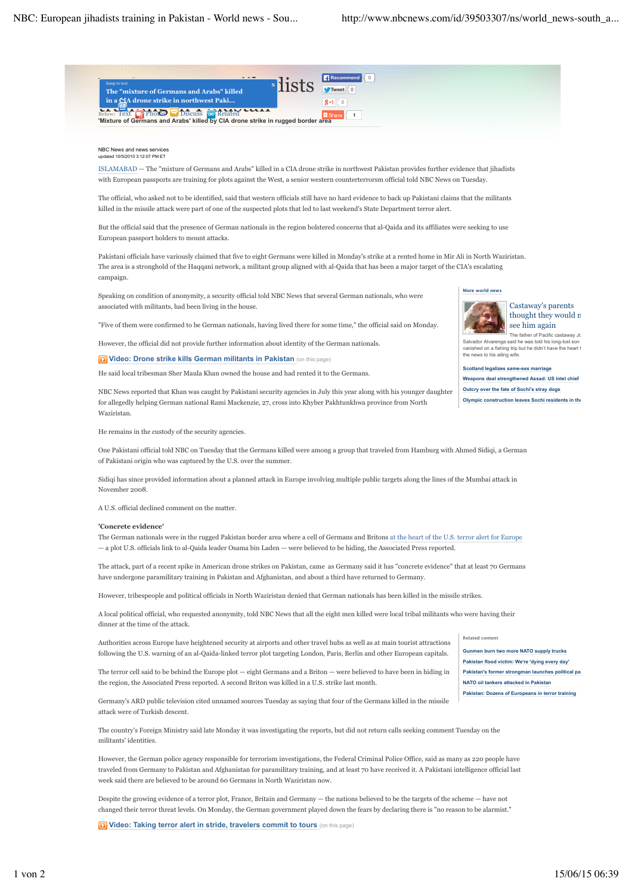

Despite the growing evidence of a terror plot, France, Britain and Germany — the nations believed to be the targets of the scheme — have not changed their terror threat levels. On Monday, the German government played down the fears by declaring there is "no reason to be alarmist."

**Video: Taking terror alert in stride, travelers commit to tours** (on this page)

week said there are believed to be around 60 Germans in North Waziristan now.